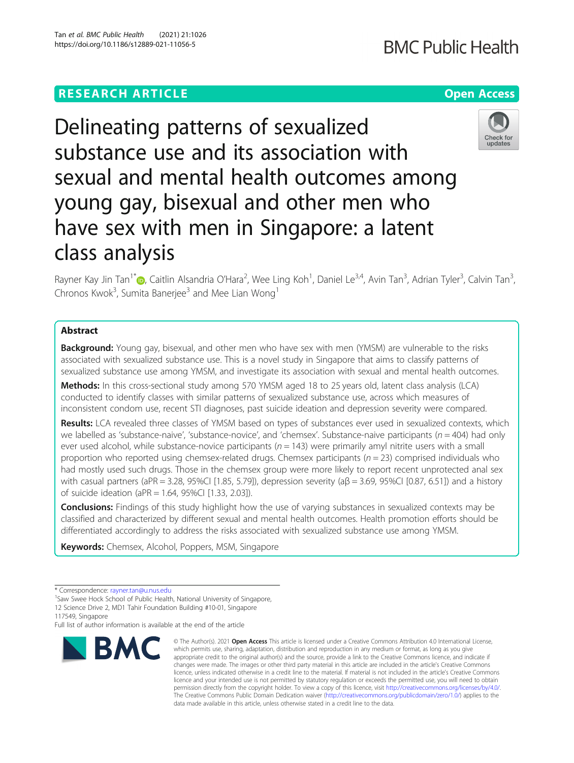# **RESEARCH ARTICLE Example 2014 12:30 The Contract of Contract ACCESS**

# Delineating patterns of sexualized substance use and its association with sexual and mental health outcomes among young gay, bisexual and other men who have sex with men in Singapore: a latent class analysis

Rayner Kay Jin Tan<sup>1\*</sup>�[,](http://orcid.org/0000-0002-9188-3368) Caitlin Alsandria O'Hara<sup>2</sup>, Wee Ling Koh<sup>1</sup>, Daniel Le<sup>3,4</sup>, Avin Tan<sup>3</sup>, Adrian Tyler<sup>3</sup>, Calvin Tan<sup>3</sup> .<br>. Chronos Kwok<sup>3</sup>, Sumita Banerjee<sup>3</sup> and Mee Lian Wong<sup>1</sup>

# Abstract

**Background:** Young gay, bisexual, and other men who have sex with men (YMSM) are vulnerable to the risks associated with sexualized substance use. This is a novel study in Singapore that aims to classify patterns of sexualized substance use among YMSM, and investigate its association with sexual and mental health outcomes.

Methods: In this cross-sectional study among 570 YMSM aged 18 to 25 years old, latent class analysis (LCA) conducted to identify classes with similar patterns of sexualized substance use, across which measures of inconsistent condom use, recent STI diagnoses, past suicide ideation and depression severity were compared.

Results: LCA revealed three classes of YMSM based on types of substances ever used in sexualized contexts, which we labelled as 'substance-naive', 'substance-novice', and 'chemsex'. Substance-naive participants ( $n = 404$ ) had only ever used alcohol, while substance-novice participants ( $n = 143$ ) were primarily amyl nitrite users with a small proportion who reported using chemsex-related drugs. Chemsex participants ( $n = 23$ ) comprised individuals who had mostly used such drugs. Those in the chemsex group were more likely to report recent unprotected anal sex with casual partners (aPR = 3.28, 95%CI [1.85, 5.79]), depression severity (aβ = 3.69, 95%CI [0.87, 6.51]) and a history of suicide ideation (aPR = 1.64, 95%CI [1.33, 2.03]).

**Conclusions:** Findings of this study highlight how the use of varying substances in sexualized contexts may be classified and characterized by different sexual and mental health outcomes. Health promotion efforts should be differentiated accordingly to address the risks associated with sexualized substance use among YMSM.

Keywords: Chemsex, Alcohol, Poppers, MSM, Singapore

Full list of author information is available at the end of the article



<sup>©</sup> The Author(s), 2021 **Open Access** This article is licensed under a Creative Commons Attribution 4.0 International License, which permits use, sharing, adaptation, distribution and reproduction in any medium or format, as long as you give appropriate credit to the original author(s) and the source, provide a link to the Creative Commons licence, and indicate if changes were made. The images or other third party material in this article are included in the article's Creative Commons licence, unless indicated otherwise in a credit line to the material. If material is not included in the article's Creative Commons licence and your intended use is not permitted by statutory regulation or exceeds the permitted use, you will need to obtain permission directly from the copyright holder. To view a copy of this licence, visit [http://creativecommons.org/licenses/by/4.0/.](http://creativecommons.org/licenses/by/4.0/) The Creative Commons Public Domain Dedication waiver [\(http://creativecommons.org/publicdomain/zero/1.0/](http://creativecommons.org/publicdomain/zero/1.0/)) applies to the data made available in this article, unless otherwise stated in a credit line to the data.





<sup>\*</sup> Correspondence: [rayner.tan@u.nus.edu](mailto:rayner.tan@u.nus.edu) <sup>1</sup>

<sup>&</sup>lt;sup>1</sup>Saw Swee Hock School of Public Health, National University of Singapore, 12 Science Drive 2, MD1 Tahir Foundation Building #10-01, Singapore

<sup>117549,</sup> Singapore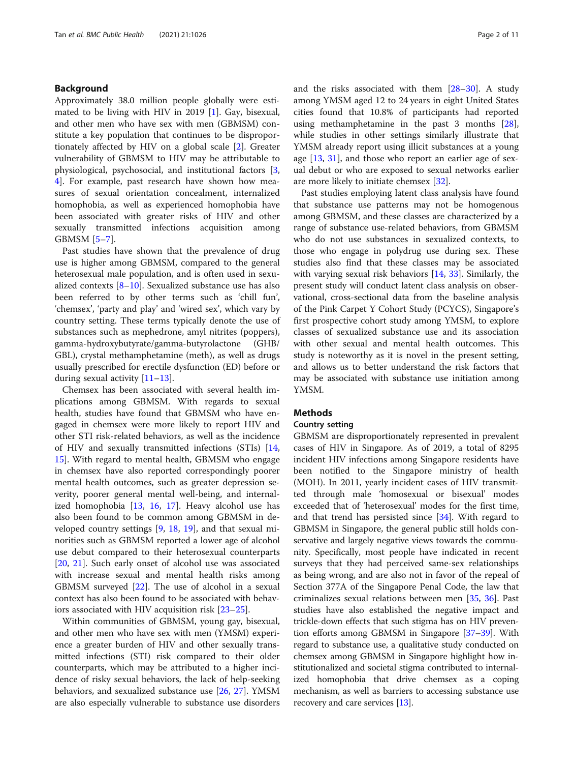# Background

Approximately 38.0 million people globally were estimated to be living with HIV in 2019 [\[1](#page-8-0)]. Gay, bisexual, and other men who have sex with men (GBMSM) constitute a key population that continues to be disproportionately affected by HIV on a global scale [\[2](#page-8-0)]. Greater vulnerability of GBMSM to HIV may be attributable to physiological, psychosocial, and institutional factors [\[3](#page-8-0), [4\]](#page-8-0). For example, past research have shown how measures of sexual orientation concealment, internalized homophobia, as well as experienced homophobia have been associated with greater risks of HIV and other sexually transmitted infections acquisition among GBMSM [\[5](#page-8-0)–[7\]](#page-8-0).

Past studies have shown that the prevalence of drug use is higher among GBMSM, compared to the general heterosexual male population, and is often used in sexualized contexts [[8](#page-8-0)–[10](#page-8-0)]. Sexualized substance use has also been referred to by other terms such as 'chill fun', 'chemsex', 'party and play' and 'wired sex', which vary by country setting. These terms typically denote the use of substances such as mephedrone, amyl nitrites (poppers), gamma-hydroxybutyrate/gamma-butyrolactone (GHB/ GBL), crystal methamphetamine (meth), as well as drugs usually prescribed for erectile dysfunction (ED) before or during sexual activity  $[11–13]$  $[11–13]$  $[11–13]$  $[11–13]$ .

Chemsex has been associated with several health implications among GBMSM. With regards to sexual health, studies have found that GBMSM who have engaged in chemsex were more likely to report HIV and other STI risk-related behaviors, as well as the incidence of HIV and sexually transmitted infections (STIs) [[14](#page-9-0), [15\]](#page-9-0). With regard to mental health, GBMSM who engage in chemsex have also reported correspondingly poorer mental health outcomes, such as greater depression severity, poorer general mental well-being, and internalized homophobia [\[13](#page-9-0), [16](#page-9-0), [17](#page-9-0)]. Heavy alcohol use has also been found to be common among GBMSM in developed country settings [\[9](#page-8-0), [18,](#page-9-0) [19](#page-9-0)], and that sexual minorities such as GBMSM reported a lower age of alcohol use debut compared to their heterosexual counterparts [[20,](#page-9-0) [21\]](#page-9-0). Such early onset of alcohol use was associated with increase sexual and mental health risks among GBMSM surveyed [\[22](#page-9-0)]. The use of alcohol in a sexual context has also been found to be associated with behaviors associated with HIV acquisition risk [[23](#page-9-0)–[25](#page-9-0)].

Within communities of GBMSM, young gay, bisexual, and other men who have sex with men (YMSM) experience a greater burden of HIV and other sexually transmitted infections (STI) risk compared to their older counterparts, which may be attributed to a higher incidence of risky sexual behaviors, the lack of help-seeking behaviors, and sexualized substance use [\[26](#page-9-0), [27\]](#page-9-0). YMSM are also especially vulnerable to substance use disorders and the risks associated with them [[28](#page-9-0)–[30](#page-9-0)]. A study among YMSM aged 12 to 24 years in eight United States cities found that 10.8% of participants had reported using methamphetamine in the past 3 months  $[28]$  $[28]$ , while studies in other settings similarly illustrate that YMSM already report using illicit substances at a young age  $[13, 31]$  $[13, 31]$  $[13, 31]$  $[13, 31]$ , and those who report an earlier age of sexual debut or who are exposed to sexual networks earlier are more likely to initiate chemsex [[32](#page-9-0)].

Past studies employing latent class analysis have found that substance use patterns may not be homogenous among GBMSM, and these classes are characterized by a range of substance use-related behaviors, from GBMSM who do not use substances in sexualized contexts, to those who engage in polydrug use during sex. These studies also find that these classes may be associated with varying sexual risk behaviors [[14,](#page-9-0) [33\]](#page-9-0). Similarly, the present study will conduct latent class analysis on observational, cross-sectional data from the baseline analysis of the Pink Carpet Y Cohort Study (PCYCS), Singapore's first prospective cohort study among YMSM, to explore classes of sexualized substance use and its association with other sexual and mental health outcomes. This study is noteworthy as it is novel in the present setting, and allows us to better understand the risk factors that may be associated with substance use initiation among YMSM.

### **Methods**

#### Country setting

GBMSM are disproportionately represented in prevalent cases of HIV in Singapore. As of 2019, a total of 8295 incident HIV infections among Singapore residents have been notified to the Singapore ministry of health (MOH). In 2011, yearly incident cases of HIV transmitted through male 'homosexual or bisexual' modes exceeded that of 'heterosexual' modes for the first time, and that trend has persisted since [[34\]](#page-9-0). With regard to GBMSM in Singapore, the general public still holds conservative and largely negative views towards the community. Specifically, most people have indicated in recent surveys that they had perceived same-sex relationships as being wrong, and are also not in favor of the repeal of Section 377A of the Singapore Penal Code, the law that criminalizes sexual relations between men [\[35](#page-9-0), [36\]](#page-9-0). Past studies have also established the negative impact and trickle-down effects that such stigma has on HIV prevention efforts among GBMSM in Singapore [[37](#page-9-0)–[39\]](#page-9-0). With regard to substance use, a qualitative study conducted on chemsex among GBMSM in Singapore highlight how institutionalized and societal stigma contributed to internalized homophobia that drive chemsex as a coping mechanism, as well as barriers to accessing substance use recovery and care services [\[13\]](#page-9-0).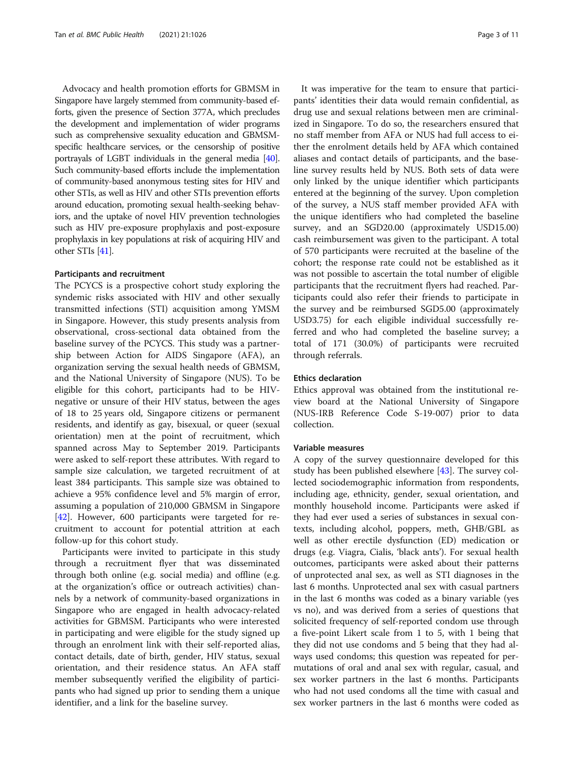Advocacy and health promotion efforts for GBMSM in Singapore have largely stemmed from community-based efforts, given the presence of Section 377A, which precludes the development and implementation of wider programs such as comprehensive sexuality education and GBMSMspecific healthcare services, or the censorship of positive portrayals of LGBT individuals in the general media [\[40](#page-9-0)]. Such community-based efforts include the implementation of community-based anonymous testing sites for HIV and other STIs, as well as HIV and other STIs prevention efforts around education, promoting sexual health-seeking behaviors, and the uptake of novel HIV prevention technologies such as HIV pre-exposure prophylaxis and post-exposure prophylaxis in key populations at risk of acquiring HIV and other STIs [[41\]](#page-9-0).

#### Participants and recruitment

The PCYCS is a prospective cohort study exploring the syndemic risks associated with HIV and other sexually transmitted infections (STI) acquisition among YMSM in Singapore. However, this study presents analysis from observational, cross-sectional data obtained from the baseline survey of the PCYCS. This study was a partnership between Action for AIDS Singapore (AFA), an organization serving the sexual health needs of GBMSM, and the National University of Singapore (NUS). To be eligible for this cohort, participants had to be HIVnegative or unsure of their HIV status, between the ages of 18 to 25 years old, Singapore citizens or permanent residents, and identify as gay, bisexual, or queer (sexual orientation) men at the point of recruitment, which spanned across May to September 2019. Participants were asked to self-report these attributes. With regard to sample size calculation, we targeted recruitment of at least 384 participants. This sample size was obtained to achieve a 95% confidence level and 5% margin of error, assuming a population of 210,000 GBMSM in Singapore [[42\]](#page-9-0). However, 600 participants were targeted for recruitment to account for potential attrition at each follow-up for this cohort study.

Participants were invited to participate in this study through a recruitment flyer that was disseminated through both online (e.g. social media) and offline (e.g. at the organization's office or outreach activities) channels by a network of community-based organizations in Singapore who are engaged in health advocacy-related activities for GBMSM. Participants who were interested in participating and were eligible for the study signed up through an enrolment link with their self-reported alias, contact details, date of birth, gender, HIV status, sexual orientation, and their residence status. An AFA staff member subsequently verified the eligibility of participants who had signed up prior to sending them a unique identifier, and a link for the baseline survey.

It was imperative for the team to ensure that participants' identities their data would remain confidential, as drug use and sexual relations between men are criminalized in Singapore. To do so, the researchers ensured that no staff member from AFA or NUS had full access to either the enrolment details held by AFA which contained aliases and contact details of participants, and the baseline survey results held by NUS. Both sets of data were only linked by the unique identifier which participants entered at the beginning of the survey. Upon completion of the survey, a NUS staff member provided AFA with the unique identifiers who had completed the baseline survey, and an SGD20.00 (approximately USD15.00) cash reimbursement was given to the participant. A total of 570 participants were recruited at the baseline of the cohort; the response rate could not be established as it was not possible to ascertain the total number of eligible participants that the recruitment flyers had reached. Participants could also refer their friends to participate in the survey and be reimbursed SGD5.00 (approximately USD3.75) for each eligible individual successfully referred and who had completed the baseline survey; a total of 171 (30.0%) of participants were recruited through referrals.

#### Ethics declaration

Ethics approval was obtained from the institutional review board at the National University of Singapore (NUS-IRB Reference Code S-19-007) prior to data collection.

#### Variable measures

A copy of the survey questionnaire developed for this study has been published elsewhere [[43](#page-9-0)]. The survey collected sociodemographic information from respondents, including age, ethnicity, gender, sexual orientation, and monthly household income. Participants were asked if they had ever used a series of substances in sexual contexts, including alcohol, poppers, meth, GHB/GBL as well as other erectile dysfunction (ED) medication or drugs (e.g. Viagra, Cialis, 'black ants'). For sexual health outcomes, participants were asked about their patterns of unprotected anal sex, as well as STI diagnoses in the last 6 months. Unprotected anal sex with casual partners in the last 6 months was coded as a binary variable (yes vs no), and was derived from a series of questions that solicited frequency of self-reported condom use through a five-point Likert scale from 1 to 5, with 1 being that they did not use condoms and 5 being that they had always used condoms; this question was repeated for permutations of oral and anal sex with regular, casual, and sex worker partners in the last 6 months. Participants who had not used condoms all the time with casual and sex worker partners in the last 6 months were coded as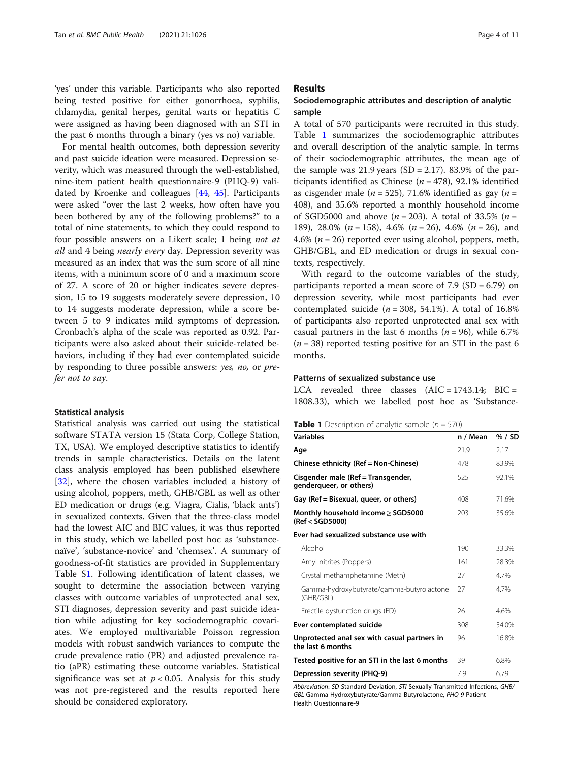'yes' under this variable. Participants who also reported being tested positive for either gonorrhoea, syphilis, chlamydia, genital herpes, genital warts or hepatitis C were assigned as having been diagnosed with an STI in the past 6 months through a binary (yes vs no) variable.

For mental health outcomes, both depression severity and past suicide ideation were measured. Depression severity, which was measured through the well-established, nine-item patient health questionnaire-9 (PHQ-9) validated by Kroenke and colleagues [[44,](#page-9-0) [45](#page-9-0)]. Participants were asked "over the last 2 weeks, how often have you been bothered by any of the following problems?" to a total of nine statements, to which they could respond to four possible answers on a Likert scale; 1 being not at all and 4 being nearly every day. Depression severity was measured as an index that was the sum score of all nine items, with a minimum score of 0 and a maximum score of 27. A score of 20 or higher indicates severe depression, 15 to 19 suggests moderately severe depression, 10 to 14 suggests moderate depression, while a score between 5 to 9 indicates mild symptoms of depression. Cronbach's alpha of the scale was reported as 0.92. Participants were also asked about their suicide-related behaviors, including if they had ever contemplated suicide by responding to three possible answers: yes, no, or prefer not to say.

#### Statistical analysis

Statistical analysis was carried out using the statistical software STATA version 15 (Stata Corp, College Station, TX, USA). We employed descriptive statistics to identify trends in sample characteristics. Details on the latent class analysis employed has been published elsewhere [[32\]](#page-9-0), where the chosen variables included a history of using alcohol, poppers, meth, GHB/GBL as well as other ED medication or drugs (e.g. Viagra, Cialis, 'black ants') in sexualized contexts. Given that the three-class model had the lowest AIC and BIC values, it was thus reported in this study, which we labelled post hoc as 'substancenaïve', 'substance-novice' and 'chemsex'. A summary of goodness-of-fit statistics are provided in Supplementary Table [S1](#page-8-0). Following identification of latent classes, we sought to determine the association between varying classes with outcome variables of unprotected anal sex, STI diagnoses, depression severity and past suicide ideation while adjusting for key sociodemographic covariates. We employed multivariable Poisson regression models with robust sandwich variances to compute the crude prevalence ratio (PR) and adjusted prevalence ratio (aPR) estimating these outcome variables. Statistical significance was set at  $p < 0.05$ . Analysis for this study was not pre-registered and the results reported here should be considered exploratory.

# Results

# Sociodemographic attributes and description of analytic sample

A total of 570 participants were recruited in this study. Table 1 summarizes the sociodemographic attributes and overall description of the analytic sample. In terms of their sociodemographic attributes, the mean age of the sample was  $21.9$  years (SD = 2.17). 83.9% of the participants identified as Chinese ( $n = 478$ ), 92.1% identified as cisgender male ( $n = 525$ ), 71.6% identified as gay ( $n =$ 408), and 35.6% reported a monthly household income of SGD5000 and above ( $n = 203$ ). A total of 33.5% ( $n =$ 189), 28.0% ( $n = 158$ ), 4.6% ( $n = 26$ ), 4.6% ( $n = 26$ ), and 4.6% ( $n = 26$ ) reported ever using alcohol, poppers, meth, GHB/GBL, and ED medication or drugs in sexual contexts, respectively.

With regard to the outcome variables of the study, participants reported a mean score of  $7.9$  (SD = 6.79) on depression severity, while most participants had ever contemplated suicide ( $n = 308, 54.1\%$ ). A total of 16.8% of participants also reported unprotected anal sex with casual partners in the last 6 months ( $n = 96$ ), while 6.7%  $(n = 38)$  reported testing positive for an STI in the past 6 months.

# Patterns of sexualized substance use

LCA revealed three classes  $(AIC = 1743.14; BIC =$ 1808.33), which we labelled post hoc as 'Substance-

|  | <b>Table 1</b> Description of analytic sample $(n = 570)$ |  |  |  |
|--|-----------------------------------------------------------|--|--|--|
|--|-----------------------------------------------------------|--|--|--|

| <b>Variables</b>                                                  | n / Mean | % / SD |
|-------------------------------------------------------------------|----------|--------|
| Age                                                               | 21.9     | 2.17   |
| Chinese ethnicity (Ref = Non-Chinese)                             | 478      | 83.9%  |
| Cisgender male (Ref = Transgender,<br>genderqueer, or others)     | 525      | 92.1%  |
| Gay (Ref = Bisexual, queer, or others)                            | 408      | 71.6%  |
| Monthly household income $\geq$ SGD5000<br>(Ref < SGD5000)        | 203      | 35.6%  |
| Ever had sexualized substance use with                            |          |        |
| Alcohol                                                           | 190      | 33.3%  |
| Amyl nitrites (Poppers)                                           | 161      | 28.3%  |
| Crystal methamphetamine (Meth)                                    | 27       | 4.7%   |
| Gamma-hydroxybutyrate/gamma-butyrolactone<br>(GHB/GBL)            | 27       | 4.7%   |
| Erectile dysfunction drugs (ED)                                   | 26       | 4.6%   |
| Ever contemplated suicide                                         | 308      | 54.0%  |
| Unprotected anal sex with casual partners in<br>the last 6 months | 96       | 16.8%  |
| Tested positive for an STI in the last 6 months                   | 39       | 6.8%   |
| Depression severity (PHQ-9)                                       | 7.9      | 6.79   |

Abbreviation: SD Standard Deviation, STI Sexually Transmitted Infections, GHB/ GBL Gamma-Hydroxybutyrate/Gamma-Butyrolactone, PHQ-9 Patient Health Questionnaire-9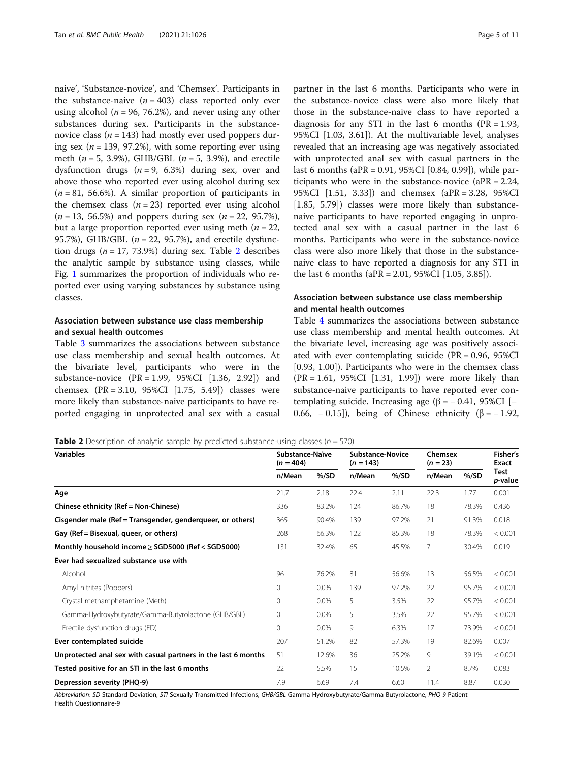naive', 'Substance-novice', and 'Chemsex'. Participants in the substance-naive  $(n = 403)$  class reported only ever using alcohol ( $n = 96, 76.2\%$ ), and never using any other substances during sex. Participants in the substancenovice class ( $n = 143$ ) had mostly ever used poppers during sex ( $n = 139, 97.2\%$ ), with some reporting ever using meth ( $n = 5$ , 3.9%), GHB/GBL ( $n = 5$ , 3.9%), and erectile dysfunction drugs  $(n = 9, 6.3%)$  during sex, over and above those who reported ever using alcohol during sex  $(n = 81, 56.6\%)$ . A similar proportion of participants in the chemsex class  $(n = 23)$  reported ever using alcohol  $(n = 13, 56.5\%)$  and poppers during sex  $(n = 22, 95.7\%).$ but a large proportion reported ever using meth ( $n = 22$ , 95.7%), GHB/GBL ( $n = 22$ , 95.7%), and erectile dysfunction drugs ( $n = 17, 73.9%$ ) during sex. Table 2 describes the analytic sample by substance using classes, while Fig. [1](#page-5-0) summarizes the proportion of individuals who reported ever using varying substances by substance using classes.

# Association between substance use class membership and sexual health outcomes

Table [3](#page-5-0) summarizes the associations between substance use class membership and sexual health outcomes. At the bivariate level, participants who were in the substance-novice (PR = 1.99, 95%CI [1.36, 2.92]) and chemsex (PR = 3.10, 95%CI [1.75, 5.49]) classes were more likely than substance-naive participants to have reported engaging in unprotected anal sex with a casual partner in the last 6 months. Participants who were in the substance-novice class were also more likely that those in the substance-naive class to have reported a diagnosis for any STI in the last 6 months ( $PR = 1.93$ , 95%CI [1.03, 3.61]). At the multivariable level, analyses revealed that an increasing age was negatively associated with unprotected anal sex with casual partners in the last 6 months (aPR = 0.91, 95%CI [0.84, 0.99]), while participants who were in the substance-novice (aPR = 2.24, 95%CI [1.51, 3.33]) and chemsex (aPR = 3.28, 95%CI [1.85, 5.79]) classes were more likely than substancenaive participants to have reported engaging in unprotected anal sex with a casual partner in the last 6 months. Participants who were in the substance-novice class were also more likely that those in the substancenaive class to have reported a diagnosis for any STI in the last 6 months (aPR = 2.01, 95%CI [1.05, 3.85]).

# Association between substance use class membership and mental health outcomes

Table [4](#page-6-0) summarizes the associations between substance use class membership and mental health outcomes. At the bivariate level, increasing age was positively associated with ever contemplating suicide ( $PR = 0.96$ ,  $95\%CI$ [0.93, 1.00]). Participants who were in the chemsex class (PR = 1.61, 95%CI [1.31, 1.99]) were more likely than substance-naive participants to have reported ever contemplating suicide. Increasing age  $(\beta = -0.41, 95\%CI$  [-0.66,  $-0.15$ ]), being of Chinese ethnicity ( $\beta = -1.92$ ,

**Table 2** Description of analytic sample by predicted substance-using classes ( $n = 570$ )

| <b>Variables</b>                                               | Substance-Naïve<br>$(n = 404)$ |         | <b>Substance-Novice</b><br>$(n = 143)$ |       | Chemsex<br>$(n = 23)$ |       | Fisher's<br>Exact       |
|----------------------------------------------------------------|--------------------------------|---------|----------------------------------------|-------|-----------------------|-------|-------------------------|
|                                                                | n/Mean                         | % /SD   | n/Mean                                 | % /SD | n/Mean                | % /SD | Test<br><i>p</i> -value |
| Age                                                            | 21.7                           | 2.18    | 22.4                                   | 2.11  | 22.3                  | 1.77  | 0.001                   |
| Chinese ethnicity (Ref = Non-Chinese)                          | 336                            | 83.2%   | 124                                    | 86.7% | 18                    | 78.3% | 0.436                   |
| Cisgender male (Ref = Transgender, genderqueer, or others)     | 365                            | 90.4%   | 139                                    | 97.2% | 21                    | 91.3% | 0.018                   |
| Gay (Ref = Bisexual, queer, or others)                         | 268                            | 66.3%   | 122                                    | 85.3% | 18                    | 78.3% | < 0.001                 |
| Monthly household income $\geq$ SGD5000 (Ref < SGD5000)        | 131                            | 32.4%   | 65                                     | 45.5% | 7                     | 30.4% | 0.019                   |
| Ever had sexualized substance use with                         |                                |         |                                        |       |                       |       |                         |
| Alcohol                                                        | 96                             | 76.2%   | 81                                     | 56.6% | 13                    | 56.5% | < 0.001                 |
| Amyl nitrites (Poppers)                                        | 0                              | $0.0\%$ | 139                                    | 97.2% | 22                    | 95.7% | < 0.001                 |
| Crystal methamphetamine (Meth)                                 | 0                              | $0.0\%$ | 5                                      | 3.5%  | 22                    | 95.7% | < 0.001                 |
| Gamma-Hydroxybutyrate/Gamma-Butyrolactone (GHB/GBL)            | 0                              | 0.0%    | 5                                      | 3.5%  | 22                    | 95.7% | < 0.001                 |
| Erectile dysfunction drugs (ED)                                | 0                              | $0.0\%$ | 9                                      | 6.3%  | 17                    | 73.9% | < 0.001                 |
| Ever contemplated suicide                                      | 207                            | 51.2%   | 82                                     | 57.3% | 19                    | 82.6% | 0.007                   |
| Unprotected anal sex with casual partners in the last 6 months | 51                             | 12.6%   | 36                                     | 25.2% | 9                     | 39.1% | < 0.001                 |
| Tested positive for an STI in the last 6 months                | 22                             | 5.5%    | 15                                     | 10.5% | $\overline{2}$        | 8.7%  | 0.083                   |
| Depression severity (PHQ-9)                                    | 7.9                            | 6.69    | 7.4                                    | 6.60  | 11.4                  | 8.87  | 0.030                   |

Abbreviation: SD Standard Deviation, STI Sexually Transmitted Infections, GHB/GBL Gamma-Hydroxybutyrate/Gamma-Butyrolactone, PHQ-9 Patient Health Questionnaire-9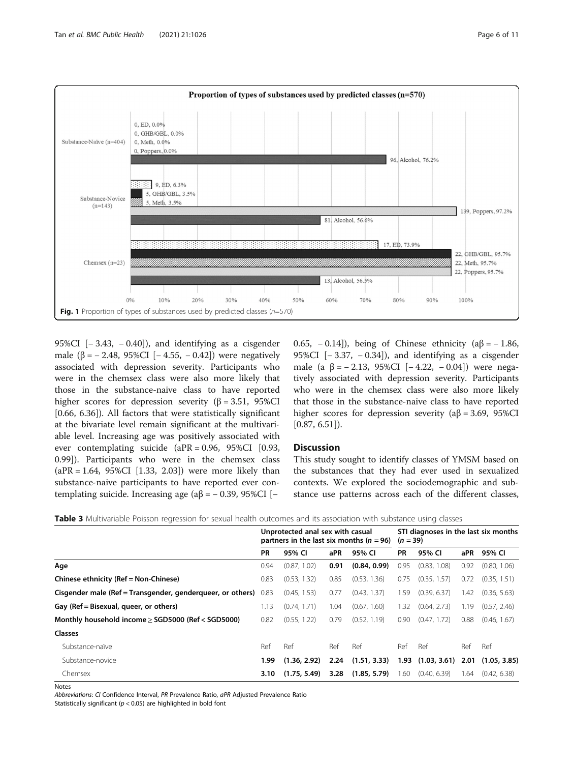<span id="page-5-0"></span>

95%CI  $[-3.43, -0.40]$ , and identifying as a cisgender male ( $\beta$  = -2.48, 95%CI [-4.55, -0.42]) were negatively associated with depression severity. Participants who were in the chemsex class were also more likely that those in the substance-naive class to have reported higher scores for depression severity  $(\beta = 3.51, 95\%$ CI [0.66, 6.36]). All factors that were statistically significant at the bivariate level remain significant at the multivariable level. Increasing age was positively associated with ever contemplating suicide (aPR = 0.96, 95%CI [0.93, 0.99]). Participants who were in the chemsex class  $(aPR = 1.64, 95\% CI$  [1.33, 2.03]) were more likely than substance-naive participants to have reported ever contemplating suicide. Increasing age ( $a\beta$  = − 0.39, 95%CI [−

0.65,  $-$  0.14]), being of Chinese ethnicity (a $\beta$  =  $-$  1.86, 95%CI [− 3.37, − 0.34]), and identifying as a cisgender male (a β = − 2.13, 95%CI [− 4.22, − 0.04]) were negatively associated with depression severity. Participants who were in the chemsex class were also more likely that those in the substance-naive class to have reported higher scores for depression severity ( $a\beta = 3.69$ , 95%CI  $[0.87, 6.51]$ .

# **Discussion**

This study sought to identify classes of YMSM based on the substances that they had ever used in sexualized contexts. We explored the sociodemographic and substance use patterns across each of the different classes,

|                                                                   |           | Unprotected anal sex with casual<br>partners in the last six months ( $n = 96$ ) |      |              | $(n = 39)$ | STI diagnoses in the last six months |      |              |
|-------------------------------------------------------------------|-----------|----------------------------------------------------------------------------------|------|--------------|------------|--------------------------------------|------|--------------|
|                                                                   | <b>PR</b> | 95% CI                                                                           | aPR  | 95% CI       | <b>PR</b>  | 95% CI                               | aPR  | 95% CI       |
| Age                                                               | 0.94      | (0.87, 1.02)                                                                     | 0.91 | (0.84, 0.99) | 0.95       | (0.83, 1.08)                         | 0.92 | (0.80, 1.06) |
| Chinese ethnicity (Ref = Non-Chinese)                             | 0.83      | (0.53, 1.32)                                                                     | 0.85 | (0.53, 1.36) | 0.75       | (0.35, 1.57)                         | 0.72 | (0.35, 1.51) |
| Cisgender male (Ref = Transgender, genderqueer, or others) $0.83$ |           | (0.45, 1.53)                                                                     | 0.77 | (0.43, 1.37) | 1.59       | (0.39, 6.37)                         | 1.42 | (0.36, 5.63) |
| Gay (Ref = Bisexual, queer, or others)                            | 1.13      | (0.74, 1.71)                                                                     | 1.04 | (0.67, 1.60) | 1.32       | (0.64, 2.73)                         | 1.19 | (0.57, 2.46) |
| Monthly household income $\geq$ SGD5000 (Ref < SGD5000)           | 0.82      | (0.55, 1.22)                                                                     | 0.79 | (0.52, 1.19) | 0.90       | (0.47, 1.72)                         | 0.88 | (0.46, 1.67) |
| <b>Classes</b>                                                    |           |                                                                                  |      |              |            |                                      |      |              |
| Substance-naïve                                                   | Ref       | Ref                                                                              | Ref  | Ref          | Ref        | Ref                                  | Ref  | Ref          |
| Substance-novice                                                  | 1.99      | (1.36, 2.92)                                                                     | 2.24 | (1.51, 3.33) | 1.93       | (1.03, 3.61)                         | 2.01 | (1.05, 3.85) |
| Chemsex                                                           | 3.10      | (1.75, 5.49)                                                                     | 3.28 | (1.85, 5.79) | 1.60       | (0.40, 6.39)                         | 1.64 | (0.42, 6.38) |

Table 3 Multivariable Poisson regression for sexual health outcomes and its association with substance using classes

Notes

Abbreviations: CI Confidence Interval, PR Prevalence Ratio, aPR Adjusted Prevalence Ratio Statistically significant ( $p < 0.05$ ) are highlighted in bold font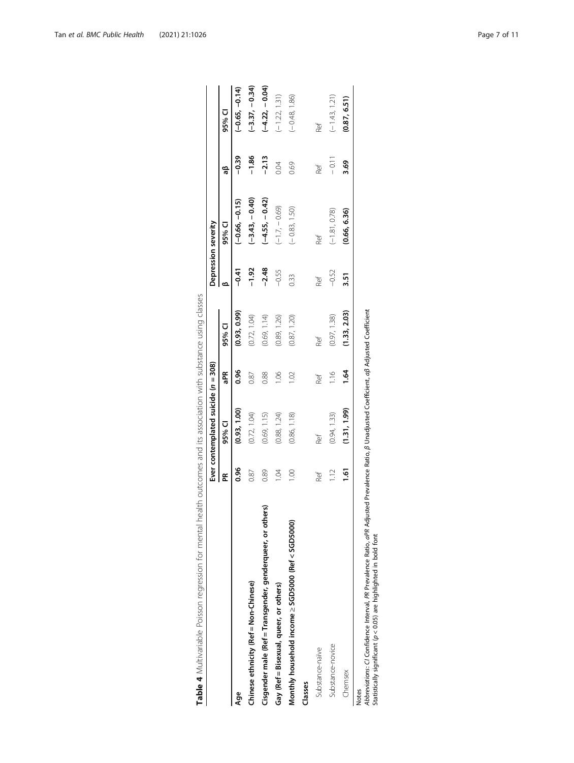<span id="page-6-0"></span>

|                                                                                                                                                                                                                                   |               | Ever contemplated suicide $(n = 308)$ |                |              |           | Depression severity |             |                  |
|-----------------------------------------------------------------------------------------------------------------------------------------------------------------------------------------------------------------------------------|---------------|---------------------------------------|----------------|--------------|-----------|---------------------|-------------|------------------|
|                                                                                                                                                                                                                                   | Æ             | 95% CI                                | aPR            | 95% CI       | ∞         | 95% Cl              | ಇ           | 95% CI           |
| Aqe                                                                                                                                                                                                                               | 0.96          | (0.93, 1.00)                          | 0.96           | (0.93, 0.99) | $-0.41$   | $-0.66, -0.15$      | ი<br>ი<br>ი | $(-0.65, -0.14)$ |
| Chinese ethnicity (Ref = Non-Chinese)                                                                                                                                                                                             | 0.87          | (0.72, 1.04)                          | 0.87           | (0.72, 1.04) | $-1.92$   | $(-3.43, -0.40)$    | $-1.86$     | $(-3.37, -0.34)$ |
| Cisgender male (Ref = Transgender, genderqueer, or others)                                                                                                                                                                        | 0.89          | (0.69, 1.15)                          | 0.88           | (0.69, 1.14) | $-2.48$   | $(-4.55, -0.42)$    | $-2.13$     | $(-4.22, -0.04)$ |
| Gay (Ref = Bisexual, queer, or others)                                                                                                                                                                                            | 10.1          | (0.88, 1.24)                          | $\frac{8}{1}$  | (0.89, 1.26) | $-0.55$   | $(-1.7, -0.69)$     | 0.04        | $(-1.22, 1.31)$  |
| Monthly household income ≥ SGD5000 (Ref < SGD5000)                                                                                                                                                                                | $\frac{8}{1}$ | (0.86, 1.18)                          | <u>so:</u>     | (0.87, 1.20) | 0.33      | $(-0.83, 1.50)$     | 0.69        | $(-0.48, 1.86)$  |
| Classes                                                                                                                                                                                                                           |               |                                       |                |              |           |                     |             |                  |
| Substance-naïve                                                                                                                                                                                                                   | Ref           | Ref                                   | Ref            | Ref          | Ref       | Ref                 | Ref         | Ref              |
| Substance-novice                                                                                                                                                                                                                  | 1.12          | (0.94, 1.33)                          | $\frac{1}{10}$ | (0.97, 1.38) | $-0.52$   | $(-1.81, 0.78)$     | $-0.17$     | $(-1.43, 1.21)$  |
| Chemsex                                                                                                                                                                                                                           | $\tilde{e}$   | (1.31, 1.99)                          | 1.64           | (1.33, 2.03) | <u>ភ្</u> | (0.66, 6.36)        | 3.69        | (0.87, 6.51)     |
| Abbreviations: CI Confidence Interval, PR Prevalence Ratio, aPR Adjusted Prevalence Ratio, B Unadjusted Coefficient, aB Adjusted Coefficient<br>Statistically significant (p < 0.05) are highlighted in bold font<br><b>Notes</b> |               |                                       |                |              |           |                     |             |                  |

Table 4 Multivariable Poisson regression for mental health outcomes and its association with substance using classes Table 4 Multivariable Poisson regression for mental health outcomes and its association with substance using classes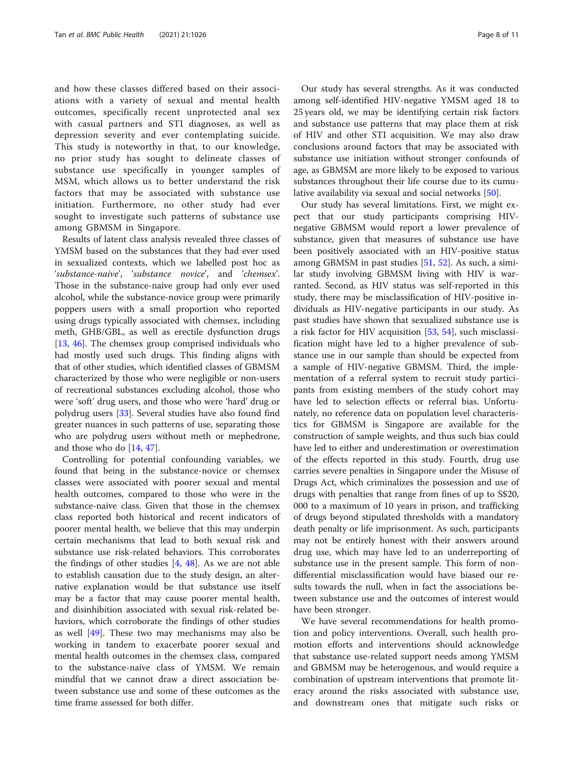and how these classes differed based on their associations with a variety of sexual and mental health outcomes, specifically recent unprotected anal sex with casual partners and STI diagnoses, as well as depression severity and ever contemplating suicide. This study is noteworthy in that, to our knowledge, no prior study has sought to delineate classes of substance use specifically in younger samples of MSM, which allows us to better understand the risk factors that may be associated with substance use initiation. Furthermore, no other study had ever sought to investigate such patterns of substance use among GBMSM in Singapore.

Results of latent class analysis revealed three classes of YMSM based on the substances that they had ever used in sexualized contexts, which we labelled post hoc as 'substance-naive', 'substance novice', and 'chemsex'. Those in the substance-naive group had only ever used alcohol, while the substance-novice group were primarily poppers users with a small proportion who reported using drugs typically associated with chemsex, including meth, GHB/GBL, as well as erectile dysfunction drugs [[13,](#page-9-0) [46](#page-9-0)]. The chemsex group comprised individuals who had mostly used such drugs. This finding aligns with that of other studies, which identified classes of GBMSM characterized by those who were negligible or non-users of recreational substances excluding alcohol, those who were 'soft' drug users, and those who were 'hard' drug or polydrug users [[33\]](#page-9-0). Several studies have also found find greater nuances in such patterns of use, separating those who are polydrug users without meth or mephedrone, and those who do [\[14,](#page-9-0) [47\]](#page-9-0).

Controlling for potential confounding variables, we found that being in the substance-novice or chemsex classes were associated with poorer sexual and mental health outcomes, compared to those who were in the substance-naive class. Given that those in the chemsex class reported both historical and recent indicators of poorer mental health, we believe that this may underpin certain mechanisms that lead to both sexual risk and substance use risk-related behaviors. This corroborates the findings of other studies [[4,](#page-8-0) [48](#page-9-0)]. As we are not able to establish causation due to the study design, an alternative explanation would be that substance use itself may be a factor that may cause poorer mental health, and disinhibition associated with sexual risk-related behaviors, which corroborate the findings of other studies as well [[49](#page-9-0)]. These two may mechanisms may also be working in tandem to exacerbate poorer sexual and mental health outcomes in the chemsex class, compared to the substance-naive class of YMSM. We remain mindful that we cannot draw a direct association between substance use and some of these outcomes as the time frame assessed for both differ.

Our study has several strengths. As it was conducted among self-identified HIV-negative YMSM aged 18 to 25 years old, we may be identifying certain risk factors and substance use patterns that may place them at risk of HIV and other STI acquisition. We may also draw conclusions around factors that may be associated with substance use initiation without stronger confounds of age, as GBMSM are more likely to be exposed to various substances throughout their life course due to its cumulative availability via sexual and social networks [\[50\]](#page-10-0).

Our study has several limitations. First, we might expect that our study participants comprising HIVnegative GBMSM would report a lower prevalence of substance, given that measures of substance use have been positively associated with an HIV-positive status among GBMSM in past studies [[51,](#page-10-0) [52\]](#page-10-0). As such, a similar study involving GBMSM living with HIV is warranted. Second, as HIV status was self-reported in this study, there may be misclassification of HIV-positive individuals as HIV-negative participants in our study. As past studies have shown that sexualized substance use is a risk factor for HIV acquisition [[53](#page-10-0), [54\]](#page-10-0), such misclassification might have led to a higher prevalence of substance use in our sample than should be expected from a sample of HIV-negative GBMSM. Third, the implementation of a referral system to recruit study participants from existing members of the study cohort may have led to selection effects or referral bias. Unfortunately, no reference data on population level characteristics for GBMSM is Singapore are available for the construction of sample weights, and thus such bias could have led to either and underestimation or overestimation of the effects reported in this study. Fourth, drug use carries severe penalties in Singapore under the Misuse of Drugs Act, which criminalizes the possession and use of drugs with penalties that range from fines of up to S\$20, 000 to a maximum of 10 years in prison, and trafficking of drugs beyond stipulated thresholds with a mandatory death penalty or life imprisonment. As such, participants may not be entirely honest with their answers around drug use, which may have led to an underreporting of substance use in the present sample. This form of nondifferential misclassification would have biased our results towards the null, when in fact the associations between substance use and the outcomes of interest would have been stronger.

We have several recommendations for health promotion and policy interventions. Overall, such health promotion efforts and interventions should acknowledge that substance use-related support needs among YMSM and GBMSM may be heterogenous, and would require a combination of upstream interventions that promote literacy around the risks associated with substance use, and downstream ones that mitigate such risks or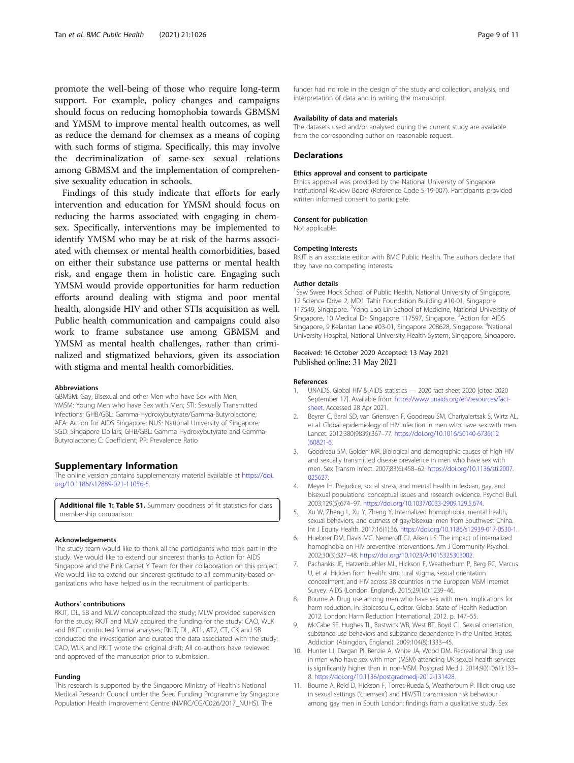<span id="page-8-0"></span>promote the well-being of those who require long-term support. For example, policy changes and campaigns should focus on reducing homophobia towards GBMSM and YMSM to improve mental health outcomes, as well as reduce the demand for chemsex as a means of coping with such forms of stigma. Specifically, this may involve the decriminalization of same-sex sexual relations among GBMSM and the implementation of comprehensive sexuality education in schools.

Findings of this study indicate that efforts for early intervention and education for YMSM should focus on reducing the harms associated with engaging in chemsex. Specifically, interventions may be implemented to identify YMSM who may be at risk of the harms associated with chemsex or mental health comorbidities, based on either their substance use patterns or mental health risk, and engage them in holistic care. Engaging such YMSM would provide opportunities for harm reduction efforts around dealing with stigma and poor mental health, alongside HIV and other STIs acquisition as well. Public health communication and campaigns could also work to frame substance use among GBMSM and YMSM as mental health challenges, rather than criminalized and stigmatized behaviors, given its association with stigma and mental health comorbidities.

#### Abbreviations

GBMSM: Gay, Bisexual and other Men who have Sex with Men; YMSM: Young Men who have Sex with Men; STI: Sexually Transmitted Infections; GHB/GBL: Gamma-Hydroxybutyrate/Gamma-Butyrolactone; AFA: Action for AIDS Singapore; NUS: National University of Singapore; SGD: Singapore Dollars; GHB/GBL: Gamma Hydroxybutyrate and Gamma-Butyrolactone; C: Coefficient; PR: Prevalence Ratio

#### Supplementary Information

The online version contains supplementary material available at [https://doi.](https://doi.org/10.1186/s12889-021-11056-5) [org/10.1186/s12889-021-11056-5.](https://doi.org/10.1186/s12889-021-11056-5)

Additional file 1: Table S1. Summary goodness of fit statistics for class membership comparison.

#### Acknowledgements

The study team would like to thank all the participants who took part in the study. We would like to extend our sincerest thanks to Action for AIDS Singapore and the Pink Carpet Y Team for their collaboration on this project. We would like to extend our sincerest gratitude to all community-based organizations who have helped us in the recruitment of participants.

#### Authors' contributions

RKJT, DL, SB and MLW conceptualized the study; MLW provided supervision for the study; RKJT and MLW acquired the funding for the study; CAO, WLK and RKJT conducted formal analyses; RKJT, DL, AT1, AT2, CT, CK and SB conducted the investigation and curated the data associated with the study; CAO, WLK and RKJT wrote the original draft; All co-authors have reviewed and approved of the manuscript prior to submission.

#### Funding

This research is supported by the Singapore Ministry of Health's National Medical Research Council under the Seed Funding Programme by Singapore Population Health Improvement Centre (NMRC/CG/C026/2017\_NUHS). The

funder had no role in the design of the study and collection, analysis, and interpretation of data and in writing the manuscript.

### Availability of data and materials

The datasets used and/or analysed during the current study are available from the corresponding author on reasonable request.

#### **Declarations**

#### Ethics approval and consent to participate

Ethics approval was provided by the National University of Singapore Institutional Review Board (Reference Code S-19-007). Participants provided written informed consent to participate.

#### Consent for publication

Not applicable.

#### Competing interests

RKJT is an associate editor with BMC Public Health. The authors declare that they have no competing interests.

#### Author details

<sup>1</sup>Saw Swee Hock School of Public Health, National University of Singapore, 12 Science Drive 2, MD1 Tahir Foundation Building #10-01, Singapore 117549, Singapore. <sup>2</sup>Yong Loo Lin School of Medicine, National University of Singapore, 10 Medical Dr, Singapore 117597, Singapore. <sup>3</sup>Action for AIDS Singapore, 9 Kelantan Lane #03-01, Singapore 208628, Singapore. <sup>4</sup>National University Hospital, National University Health System, Singapore, Singapore.

#### Received: 16 October 2020 Accepted: 13 May 2021 Published online: 31 May 2021

#### References

- 1. UNAIDS. Global HIV & AIDS statistics 2020 fact sheet 2020 [cited 2020 September 17]. Available from: [https://www.unaids.org/en/resources/fact](https://www.unaids.org/en/resources/fact-sheet)[sheet](https://www.unaids.org/en/resources/fact-sheet). Accessed 28 Apr 2021.
- 2. Beyrer C, Baral SD, van Griensven F, Goodreau SM, Chariyalertsak S, Wirtz AL, et al. Global epidemiology of HIV infection in men who have sex with men. Lancet. 2012;380(9839):367–77. [https://doi.org/10.1016/S0140-6736\(12](https://doi.org/10.1016/S0140-6736(12)60821-6) [\)60821-6](https://doi.org/10.1016/S0140-6736(12)60821-6).
- 3. Goodreau SM, Golden MR. Biological and demographic causes of high HIV and sexually transmitted disease prevalence in men who have sex with men. Sex Transm Infect. 2007;83(6):458–62. [https://doi.org/10.1136/sti.2007.](https://doi.org/10.1136/sti.2007.025627) [025627](https://doi.org/10.1136/sti.2007.025627).
- 4. Meyer IH. Prejudice, social stress, and mental health in lesbian, gay, and bisexual populations: conceptual issues and research evidence. Psychol Bull. 2003;129(5):674–97. <https://doi.org/10.1037/0033-2909.129.5.674>.
- 5. Xu W, Zheng L, Xu Y, Zheng Y. Internalized homophobia, mental health, sexual behaviors, and outness of gay/bisexual men from Southwest China. Int J Equity Health. 2017;16(1):36. [https://doi.org/10.1186/s12939-017-0530-1.](https://doi.org/10.1186/s12939-017-0530-1)
- 6. Huebner DM, Davis MC, Nemeroff CJ, Aiken LS. The impact of internalized homophobia on HIV preventive interventions. Am J Community Psychol. 2002;30(3):327–48. [https://doi.org/10.1023/A:1015325303002.](https://doi.org/10.1023/A:1015325303002)
- Pachankis JE, Hatzenbuehler ML, Hickson F, Weatherburn P, Berg RC, Marcus U, et al. Hidden from health: structural stigma, sexual orientation concealment, and HIV across 38 countries in the European MSM Internet Survey. AIDS (London, England). 2015;29(10):1239–46.
- 8. Bourne A. Drug use among men who have sex with men. Implications for harm reduction. In: Stoicescu C, editor. Global State of Health Reduction 2012. London: Harm Reduction International; 2012. p. 147–55.
- 9. McCabe SE, Hughes TL, Bostwick WB, West BT, Boyd CJ. Sexual orientation, substance use behaviors and substance dependence in the United States. Addiction (Abingdon, England). 2009;104(8):1333–45.
- 10. Hunter LJ, Dargan PI, Benzie A, White JA, Wood DM. Recreational drug use in men who have sex with men (MSM) attending UK sexual health services is significantly higher than in non-MSM. Postgrad Med J. 2014;90(1061):133– 8. [https://doi.org/10.1136/postgradmedj-2012-131428.](https://doi.org/10.1136/postgradmedj-2012-131428)
- 11. Bourne A, Reid D, Hickson F, Torres-Rueda S, Weatherburn P. Illicit drug use in sexual settings ('chemsex') and HIV/STI transmission risk behaviour among gay men in South London: findings from a qualitative study. Sex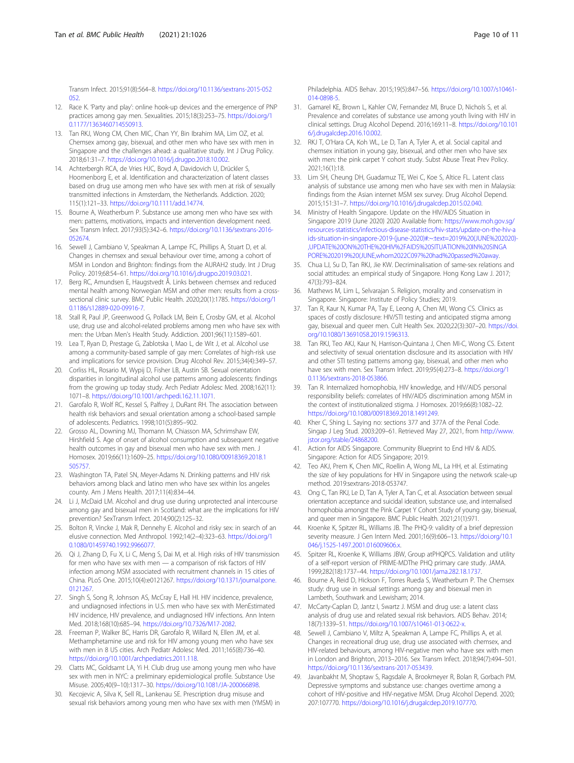<span id="page-9-0"></span>Transm Infect. 2015;91(8):564–8. [https://doi.org/10.1136/sextrans-2015-052](https://doi.org/10.1136/sextrans-2015-052052) [052.](https://doi.org/10.1136/sextrans-2015-052052)

- 12. Race K. 'Party and play': online hook-up devices and the emergence of PNP practices among gay men. Sexualities. 2015;18(3):253–75. [https://doi.org/1](https://doi.org/10.1177/1363460714550913) [0.1177/1363460714550913](https://doi.org/10.1177/1363460714550913).
- 13. Tan RKJ, Wong CM, Chen MIC, Chan YY, Bin Ibrahim MA, Lim OZ, et al. Chemsex among gay, bisexual, and other men who have sex with men in Singapore and the challenges ahead: a qualitative study. Int J Drug Policy. 2018;61:31–7. [https://doi.org/10.1016/j.drugpo.2018.10.002.](https://doi.org/10.1016/j.drugpo.2018.10.002)
- 14. Achterbergh RCA, de Vries HJC, Boyd A, Davidovich U, Drückler S, Hoornenborg E, et al. Identification and characterization of latent classes based on drug use among men who have sex with men at risk of sexually transmitted infections in Amsterdam, the Netherlands. Addiction. 2020; 115(1):121–33. [https://doi.org/10.1111/add.14774.](https://doi.org/10.1111/add.14774)
- 15. Bourne A, Weatherburn P. Substance use among men who have sex with men: patterns, motivations, impacts and intervention development need. Sex Transm Infect. 2017;93(5):342–6. [https://doi.org/10.1136/sextrans-2016-](https://doi.org/10.1136/sextrans-2016-052674) [052674](https://doi.org/10.1136/sextrans-2016-052674).
- 16. Sewell J, Cambiano V, Speakman A, Lampe FC, Phillips A, Stuart D, et al. Changes in chemsex and sexual behaviour over time, among a cohort of MSM in London and Brighton: findings from the AURAH2 study. Int J Drug Policy. 2019;68:54–61. <https://doi.org/10.1016/j.drugpo.2019.03.021>.
- 17. Berg RC, Amundsen E, Haugstvedt Å. Links between chemsex and reduced mental health among Norwegian MSM and other men: results from a crosssectional clinic survey. BMC Public Health. 2020;20(1):1785. [https://doi.org/1](https://doi.org/10.1186/s12889-020-09916-7) 0.1186/s12889-020-09916-7
- 18. Stall R, Paul JP, Greenwood G, Pollack LM, Bein E, Crosby GM, et al. Alcohol use, drug use and alcohol-related problems among men who have sex with men: the Urban Men's Health Study. Addiction. 2001;96(11):1589–601.
- 19. Lea T, Ryan D, Prestage G, Zablotska I, Mao L, de Wit J, et al. Alcohol use among a community-based sample of gay men: Correlates of high-risk use and implications for service provision. Drug Alcohol Rev. 2015;34(4):349–57.
- 20. Corliss HL, Rosario M, Wypij D, Fisher LB, Austin SB. Sexual orientation disparities in longitudinal alcohol use patterns among adolescents: findings from the growing up today study. Arch Pediatr Adolesc Med. 2008;162(11): 1071–8. [https://doi.org/10.1001/archpedi.162.11.1071.](https://doi.org/10.1001/archpedi.162.11.1071)
- 21. Garofalo R, Wolf RC, Kessel S, Palfrey J, DuRant RH. The association between health risk behaviors and sexual orientation among a school-based sample of adolescents. Pediatrics. 1998;101(5):895–902.
- 22. Grosso AL, Downing MJ, Thomann M, Chiasson MA, Schrimshaw EW, Hirshfield S. Age of onset of alcohol consumption and subsequent negative health outcomes in gay and bisexual men who have sex with men. J Homosex. 2019;66(11):1609–25. [https://doi.org/10.1080/00918369.2018.1](https://doi.org/10.1080/00918369.2018.1505757) [505757](https://doi.org/10.1080/00918369.2018.1505757).
- 23. Washington TA, Patel SN, Meyer-Adams N. Drinking patterns and HIV risk behaviors among black and latino men who have sex within los angeles county. Am J Mens Health. 2017;11(4):834–44.
- 24. Li J, McDaid LM. Alcohol and drug use during unprotected anal intercourse among gay and bisexual men in Scotland: what are the implications for HIV prevention? SexTransm Infect. 2014;90(2):125–32.
- 25. Bolton R, Vincke J, Mak R, Dennehy E. Alcohol and risky sex: in search of an elusive connection. Med Anthropol. 1992;14(2–4):323–63. [https://doi.org/1](https://doi.org/10.1080/01459740.1992.9966077) [0.1080/01459740.1992.9966077.](https://doi.org/10.1080/01459740.1992.9966077)
- 26. Qi J, Zhang D, Fu X, Li C, Meng S, Dai M, et al. High risks of HIV transmission for men who have sex with men — a comparison of risk factors of HIV infection among MSM associated with recruitment channels in 15 cities of China. PLoS One. 2015;10(4):e0121267. [https://doi.org/10.1371/journal.pone.](https://doi.org/10.1371/journal.pone.0121267) [0121267.](https://doi.org/10.1371/journal.pone.0121267)
- 27. Singh S, Song R, Johnson AS, McCray E, Hall HI. HIV incidence, prevalence, and undiagnosed infections in U.S. men who have sex with MenEstimated HIV incidence, HIV prevalence, and undiagnosed HIV infections. Ann Intern Med. 2018;168(10):685–94. [https://doi.org/10.7326/M17-2082.](https://doi.org/10.7326/M17-2082)
- 28. Freeman P, Walker BC, Harris DR, Garofalo R, Willard N, Ellen JM, et al. Methamphetamine use and risk for HIV among young men who have sex with men in 8 US cities. Arch Pediatr Adolesc Med. 2011;165(8):736–40. [https://doi.org/10.1001/archpediatrics.2011.118.](https://doi.org/10.1001/archpediatrics.2011.118)
- 29. Clatts MC, Goldsamt LA, Yi H. Club drug use among young men who have sex with men in NYC: a preliminary epidemiological profile. Substance Use Misuse. 2005;40(9–10):1317–30. [https://doi.org/10.1081/JA-200066898.](https://doi.org/10.1081/JA-200066898)
- 30. Kecojevic A, Silva K, Sell RL, Lankenau SE. Prescription drug misuse and sexual risk behaviors among young men who have sex with men (YMSM) in

Philadelphia. AIDS Behav. 2015;19(5):847–56. [https://doi.org/10.1007/s10461-](https://doi.org/10.1007/s10461-014-0898-5) [014-0898-5](https://doi.org/10.1007/s10461-014-0898-5).

- 31. Gamarel KE, Brown L, Kahler CW, Fernandez MI, Bruce D, Nichols S, et al. Prevalence and correlates of substance use among youth living with HIV in clinical settings. Drug Alcohol Depend. 2016;169:11–8. [https://doi.org/10.101](https://doi.org/10.1016/j.drugalcdep.2016.10.002) [6/j.drugalcdep.2016.10.002.](https://doi.org/10.1016/j.drugalcdep.2016.10.002)
- 32. RKJ T, O'Hara CA, Koh WL, Le D, Tan A, Tyler A, et al. Social capital and chemsex initiation in young gay, bisexual, and other men who have sex with men: the pink carpet Y cohort study. Subst Abuse Treat Prev Policy. 2021;16(1):18.
- 33. Lim SH, Cheung DH, Guadamuz TE, Wei C, Koe S, Altice FL. Latent class analysis of substance use among men who have sex with men in Malaysia: findings from the Asian internet MSM sex survey. Drug Alcohol Depend. 2015;151:31–7. [https://doi.org/10.1016/j.drugalcdep.2015.02.040.](https://doi.org/10.1016/j.drugalcdep.2015.02.040)
- Ministry of Health Singapore. Update on the HIV/AIDS Situation in Singapore 2019 (June 2020) 2020 Available from: [https://www.moh.gov.sg/](https://www.moh.gov.sg/resources-statistics/infectious-disease-statistics/hiv-stats/update-on-the-hiv-aids-situation-in-singapore-2019-(june-2020)#:~:text=2019%20(JUNE%202020)-,UPDATE%20ON%20THE%20HIV%2FAIDS%20SITUATION%20IN%20SINGAPORE%202019%20(JUNE,whom2022C097%20had%20passed%20away) [resources-statistics/infectious-disease-statistics/hiv-stats/update-on-the-hiv-a](https://www.moh.gov.sg/resources-statistics/infectious-disease-statistics/hiv-stats/update-on-the-hiv-aids-situation-in-singapore-2019-(june-2020)#:~:text=2019%20(JUNE%202020)-,UPDATE%20ON%20THE%20HIV%2FAIDS%20SITUATION%20IN%20SINGAPORE%202019%20(JUNE,whom2022C097%20had%20passed%20away) [ids-situation-in-singapore-2019-\(june-2020\)#:~:text=2019%20\(JUNE%202020\)-](https://www.moh.gov.sg/resources-statistics/infectious-disease-statistics/hiv-stats/update-on-the-hiv-aids-situation-in-singapore-2019-(june-2020)#:~:text=2019%20(JUNE%202020)-,UPDATE%20ON%20THE%20HIV%2FAIDS%20SITUATION%20IN%20SINGAPORE%202019%20(JUNE,whom2022C097%20had%20passed%20away) [,UPDATE%20ON%20THE%20HIV%2FAIDS%20SITUATION%20IN%20SINGA](https://www.moh.gov.sg/resources-statistics/infectious-disease-statistics/hiv-stats/update-on-the-hiv-aids-situation-in-singapore-2019-(june-2020)#:~:text=2019%20(JUNE%202020)-,UPDATE%20ON%20THE%20HIV%2FAIDS%20SITUATION%20IN%20SINGAPORE%202019%20(JUNE,whom2022C097%20had%20passed%20away) [PORE%202019%20\(JUNE,whom2022C097%20had%20passed%20away.](https://www.moh.gov.sg/resources-statistics/infectious-disease-statistics/hiv-stats/update-on-the-hiv-aids-situation-in-singapore-2019-(june-2020)#:~:text=2019%20(JUNE%202020)-,UPDATE%20ON%20THE%20HIV%2FAIDS%20SITUATION%20IN%20SINGAPORE%202019%20(JUNE,whom2022C097%20had%20passed%20away)
- 35. Chua LJ, Su D, Tan RKJ, Jie KW. Decriminalisation of same-sex relations and social attitudes: an empirical study of Singapore. Hong Kong Law J. 2017; 47(3):793–824.
- 36. Mathews M, Lim L, Selvarajan S. Religion, morality and conservatism in Singapore. Singapore: Institute of Policy Studies; 2019.
- 37. Tan R, Kaur N, Kumar PA, Tay E, Leong A, Chen MI, Wong CS. Clinics as spaces of costly disclosure: HIV/STI testing and anticipated stigma among gay, bisexual and queer men. Cult Health Sex. 2020;22(3):307–20. [https://doi.](https://doi.org/10.1080/13691058.2019.1596313) [org/10.1080/13691058.2019.1596313](https://doi.org/10.1080/13691058.2019.1596313).
- 38. Tan RKJ, Teo AKJ, Kaur N, Harrison-Quintana J, Chen MI-C, Wong CS. Extent and selectivity of sexual orientation disclosure and its association with HIV and other STI testing patterns among gay, bisexual, and other men who have sex with men. Sex Transm Infect. 2019;95(4):273–8. [https://doi.org/1](https://doi.org/10.1136/sextrans-2018-053866) [0.1136/sextrans-2018-053866.](https://doi.org/10.1136/sextrans-2018-053866)
- 39. Tan R. Internalized homophobia, HIV knowledge, and HIV/AIDS personal responsibility beliefs: correlates of HIV/AIDS discrimination among MSM in the context of institutionalized stigma. J Homosex. 2019;66(8):1082–22. <https://doi.org/10.1080/00918369.2018.1491249>.
- 40. Kher C, Shing L. Saying no: sections 377 and 377A of the Penal Code. Singap J Leg Stud. 2003:209–61. Retrieved May 27, 2021, from [http://www.](http://www.jstor.org/stable/24868200) [jstor.org/stable/24868200.](http://www.jstor.org/stable/24868200)
- 41. Action for AIDS Singapore. Community Blueprint to End HIV & AIDS. Singapore: Action for AIDS Singapore; 2019.
- 42. Teo AKJ, Prem K, Chen MIC, Roellin A, Wong ML, La HH, et al. Estimating the size of key populations for HIV in Singapore using the network scale-up method. 2019:sextrans-2018-053747.
- 43. Ong C, Tan RKJ, Le D, Tan A, Tyler A, Tan C, et al. Association between sexual orientation acceptance and suicidal ideation, substance use, and internalised homophobia amongst the Pink Carpet Y Cohort Study of young gay, bisexual, and queer men in Singapore. BMC Public Health. 2021;21(1):971.
- 44. Kroenke K, Spitzer RL, Williams JB. The PHQ-9: validity of a brief depression severity measure. J Gen Intern Med. 2001;16(9):606–13. [https://doi.org/10.1](https://doi.org/10.1046/j.1525-1497.2001.016009606.x) [046/j.1525-1497.2001.016009606.x](https://doi.org/10.1046/j.1525-1497.2001.016009606.x)
- 45. Spitzer RL, Kroenke K, Williams JBW, Group atPHQPCS. Validation and utility of a self-report version of PRIME-MDThe PHQ primary care study. JAMA. 1999;282(18):1737–44. <https://doi.org/10.1001/jama.282.18.1737>.
- 46. Bourne A, Reid D, Hickson F, Torres Rueda S, Weatherburn P. The Chemsex study: drug use in sexual settings among gay and bisexual men in Lambeth, Southwark and Lewisham; 2014.
- 47. McCarty-Caplan D, Jantz I, Swartz J. MSM and drug use: a latent class analysis of drug use and related sexual risk behaviors. AIDS Behav. 2014; 18(7):1339–51. <https://doi.org/10.1007/s10461-013-0622-x>.
- 48. Sewell J, Cambiano V, Miltz A, Speakman A, Lampe FC, Phillips A, et al. Changes in recreational drug use, drug use associated with chemsex, and HIV-related behaviours, among HIV-negative men who have sex with men in London and Brighton, 2013–2016. Sex Transm Infect. 2018;94(7):494–501. <https://doi.org/10.1136/sextrans-2017-053439>.
- 49. Javanbakht M, Shoptaw S, Ragsdale A, Brookmeyer R, Bolan R, Gorbach PM. Depressive symptoms and substance use: changes overtime among a cohort of HIV-positive and HIV-negative MSM. Drug Alcohol Depend. 2020; 207:107770. [https://doi.org/10.1016/j.drugalcdep.2019.107770.](https://doi.org/10.1016/j.drugalcdep.2019.107770)